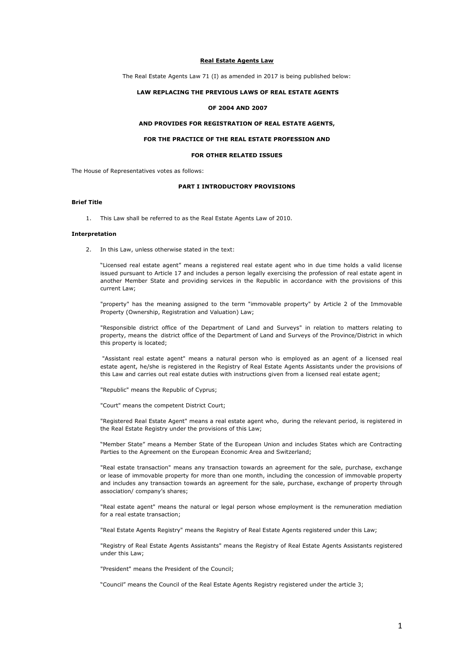#### **Real Estate Agents Law**

The Real Estate Agents Law 71 (I) as amended in 2017 is being published below:

# **LAW REPLACING THE PREVIOUS LAWS OF REAL ESTATE AGENTS**

## **OF 2004 AND 2007**

# **AND PROVIDES FOR REGISTRATION OF REAL ESTATE AGENTS,**

# **FOR THE PRACTICE OF THE REAL ESTATE PROFESSION AND**

## **FOR OTHER RELATED ISSUES**

The House of Representatives votes as follows:

## **PART I INTRODUCTORY PROVISIONS**

### **Brief Title**

1. This Law shall be referred to as the Real Estate Agents Law of 2010.

### **Interpretation**

2. In this Law, unless otherwise stated in the text:

"Licensed real estate agent" means a registered real estate agent who in due time holds a valid license issued pursuant to Article 17 and includes a person legally exercising the profession of real estate agent in another Member State and providing services in the Republic in accordance with the provisions of this current Law;

"property" has the meaning assigned to the term "immovable property" by Article 2 of the Immovable Property (Ownership, Registration and Valuation) Law;

"Responsible district office of the Department of Land and Surveys" in relation to matters relating to property, means the district office of the Department of Land and Surveys of the Province/District in which this property is located;

"Assistant real estate agent" means a natural person who is employed as an agent of a licensed real estate agent, he/she is registered in the Registry of Real Estate Agents Assistants under the provisions of this Law and carries out real estate duties with instructions given from a licensed real estate agent;

"Republic" means the Republic of Cyprus;

"Court" means the competent District Court;

"Registered Real Estate Agent" means a real estate agent who, during the relevant period, is registered in the Real Estate Registry under the provisions of this Law;

"Member State" means a Member State of the European Union and includes States which are Contracting Parties to the Agreement on the European Economic Area and Switzerland;

"Real estate transaction" means any transaction towards an agreement for the sale, purchase, exchange or lease of immovable property for more than one month, including the concession of immovable property and includes any transaction towards an agreement for the sale, purchase, exchange of property through association/ company's shares;

"Real estate agent" means the natural or legal person whose employment is the remuneration mediation for a real estate transaction;

"Real Estate Agents Registry" means the Registry of Real Estate Agents registered under this Law;

"Registry of Real Estate Agents Assistants" means the Registry of Real Estate Agents Assistants registered under this Law;

"President" means the President of the Council;

"Council" means the Council of the Real Estate Agents Registry registered under the article 3;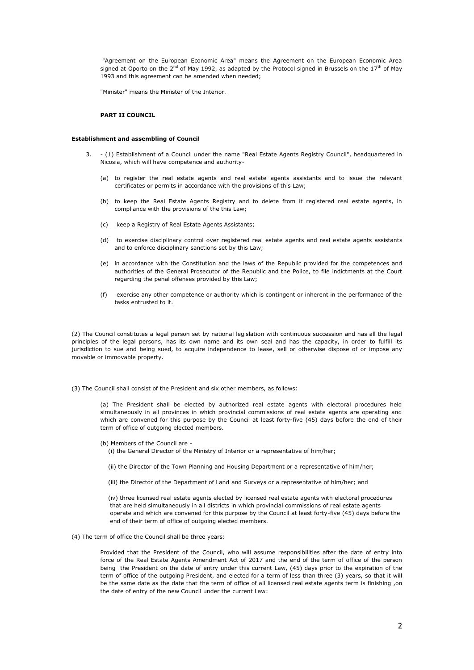"Agreement on the European Economic Area" means the Agreement on the European Economic Area signed at Oporto on the 2<sup>nd</sup> of May 1992, as adapted by the Protocol signed in Brussels on the 17<sup>th</sup> of May 1993 and this agreement can be amended when needed;

"Minister" means the Minister of the Interior.

## **PART II COUNCIL**

### **Establishment and assembling of Council**

- 3. (1) Establishment of a Council under the name "Real Estate Agents Registry Council", headquartered in Nicosia, which will have competence and authority-
	- (a) to register the real estate agents and real estate agents assistants and to issue the relevant certificates or permits in accordance with the provisions of this Law;
	- (b) to keep the Real Estate Agents Registry and to delete from it registered real estate agents, in compliance with the provisions of the this Law;
	- (c) keep a Registry of Real Estate Agents Assistants;
	- (d) to exercise disciplinary control over registered real estate agents and real estate agents assistants and to enforce disciplinary sanctions set by this Law;
	- (e) in accordance with the Constitution and the laws of the Republic provided for the competences and authorities of the General Prosecutor of the Republic and the Police, to file indictments at the Court regarding the penal offenses provided by this Law;
	- (f) exercise any other competence or authority which is contingent or inherent in the performance of the tasks entrusted to it.

(2) The Council constitutes a legal person set by national legislation with continuous succession and has all the legal principles of the legal persons, has its own name and its own seal and has the capacity, in order to fulfill its jurisdiction to sue and being sued, to acquire independence to lease, sell or otherwise dispose of or impose any movable or immovable property.

(3) The Council shall consist of the President and six other members, as follows:

(a) The President shall be elected by authorized real estate agents with electoral procedures held simultaneously in all provinces in which provincial commissions of real estate agents are operating and which are convened for this purpose by the Council at least forty-five (45) days before the end of their term of office of outgoing elected members.

(b) Members of the Council are -

(i) the General Director of the Ministry of Interior or a representative of him/her;

- (ii) the Director of the Town Planning and Housing Department or a representative of him/her;
- (iii) the Director of the Department of Land and Surveys or a representative of him/her; and

 (iv) three licensed real estate agents elected by licensed real estate agents with electoral procedures that are held simultaneously in all districts in which provincial commissions of real estate agents operate and which are convened for this purpose by the Council at least forty-five (45) days before the end of their term of office of outgoing elected members.

(4) The term of office the Council shall be three years:

Provided that the President of the Council, who will assume responsibilities after the date of entry into force of the Real Estate Agents Amendment Act of 2017 and the end of the term of office of the person being the President on the date of entry under this current Law, (45) days prior to the expiration of the term of office of the outgoing President, and elected for a term of less than three (3) years, so that it will be the same date as the date that the term of office of all licensed real estate agents term is finishing ,on the date of entry of the new Council under the current Law: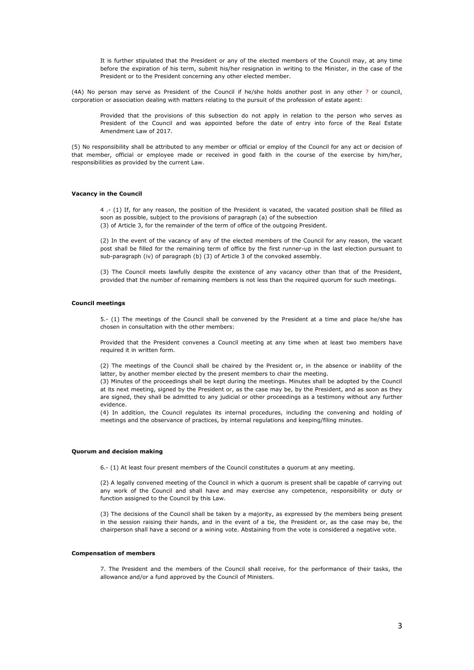It is further stipulated that the President or any of the elected members of the Council may, at any time before the expiration of his term, submit his/her resignation in writing to the Minister, in the case of the President or to the President concerning any other elected member.

(4A) No person may serve as President of the Council if he/she holds another post in any other ? or council, corporation or association dealing with matters relating to the pursuit of the profession of estate agent:

Provided that the provisions of this subsection do not apply in relation to the person who serves as President of the Council and was appointed before the date of entry into force of the Real Estate Amendment Law of 2017.

(5) No responsibility shall be attributed to any member or official or employ of the Council for any act or decision of that member, official or employee made or received in good faith in the course of the exercise by him/her, responsibilities as provided by the current Law.

## **Vacancy in the Council**

4 .- (1) If, for any reason, the position of the President is vacated, the vacated position shall be filled as soon as possible, subject to the provisions of paragraph (a) of the subsection (3) of Article 3, for the remainder of the term of office of the outgoing President.

(2) In the event of the vacancy of any of the elected members of the Council for any reason, the vacant post shall be filled for the remaining term of office by the first runner-up in the last election pursuant to sub-paragraph (iv) of paragraph (b) (3) of Article 3 of the convoked assembly.

(3) The Council meets lawfully despite the existence of any vacancy other than that of the President, provided that the number of remaining members is not less than the required quorum for such meetings.

### **Council meetings**

5.- (1) The meetings of the Council shall be convened by the President at a time and place he/she has chosen in consultation with the other members:

Provided that the President convenes a Council meeting at any time when at least two members have required it in written form.

(2) The meetings of the Council shall be chaired by the President or, in the absence or inability of the latter, by another member elected by the present members to chair the meeting.

(3) Minutes of the proceedings shall be kept during the meetings. Minutes shall be adopted by the Council at its next meeting, signed by the President or, as the case may be, by the President, and as soon as they are signed, they shall be admitted to any judicial or other proceedings as a testimony without any further evidence.

(4) In addition, the Council regulates its internal procedures, including the convening and holding of meetings and the observance of practices, by internal regulations and keeping/filing minutes.

### **Quorum and decision making**

6.- (1) At least four present members of the Council constitutes a quorum at any meeting.

(2) A legally convened meeting of the Council in which a quorum is present shall be capable of carrying out any work of the Council and shall have and may exercise any competence, responsibility or duty or function assigned to the Council by this Law.

(3) The decisions of the Council shall be taken by a majority, as expressed by the members being present in the session raising their hands, and in the event of a tie, the President or, as the case may be, the chairperson shall have a second or a wining vote. Abstaining from the vote is considered a negative vote.

### **Compensation of members**

7. The President and the members of the Council shall receive, for the performance of their tasks, the allowance and/or a fund approved by the Council of Ministers.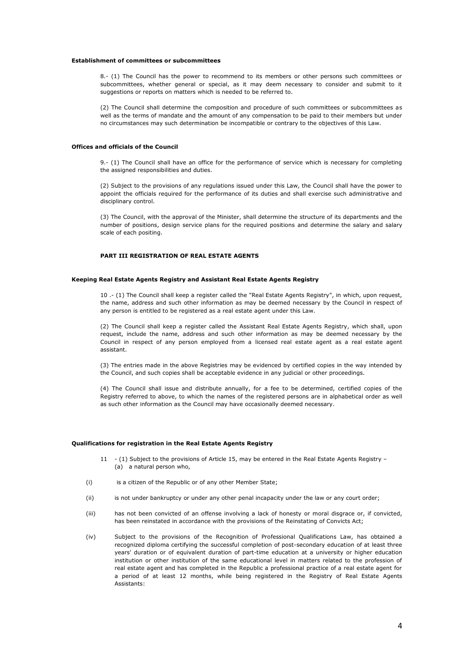#### **Establishment of committees or subcommittees**

8.- (1) The Council has the power to recommend to its members or other persons such committees or subcommittees, whether general or special, as it may deem necessary to consider and submit to it suggestions or reports on matters which is needed to be referred to.

(2) The Council shall determine the composition and procedure of such committees or subcommittees as well as the terms of mandate and the amount of any compensation to be paid to their members but under no circumstances may such determination be incompatible or contrary to the objectives of this Law.

## **Offices and officials of the Council**

9.- (1) The Council shall have an office for the performance of service which is necessary for completing the assigned responsibilities and duties.

(2) Subject to the provisions of any regulations issued under this Law, the Council shall have the power to appoint the officials required for the performance of its duties and shall exercise such administrative and disciplinary control.

(3) The Council, with the approval of the Minister, shall determine the structure of its departments and the number of positions, design service plans for the required positions and determine the salary and salary scale of each positing.

# **PART III REGISTRATION OF REAL ESTATE AGENTS**

## **Keeping Real Estate Agents Registry and Assistant Real Estate Agents Registry**

10 .- (1) The Council shall keep a register called the "Real Estate Agents Registry", in which, upon request, the name, address and such other information as may be deemed necessary by the Council in respect of any person is entitled to be registered as a real estate agent under this Law.

(2) The Council shall keep a register called the Assistant Real Estate Agents Registry, which shall, upon request, include the name, address and such other information as may be deemed necessary by the Council in respect of any person employed from a licensed real estate agent as a real estate agent assistant.

(3) The entries made in the above Registries may be evidenced by certified copies in the way intended by the Council, and such copies shall be acceptable evidence in any judicial or other proceedings.

(4) The Council shall issue and distribute annually, for a fee to be determined, certified copies of the Registry referred to above, to which the names of the registered persons are in alphabetical order as well as such other information as the Council may have occasionally deemed necessary.

#### **Qualifications for registration in the Real Estate Agents Registry**

- 11 (1) Subject to the provisions of Article 15, may be entered in the Real Estate Agents Registry (a) a natural person who,
- (i) is a citizen of the Republic or of any other Member State;
- (ii) is not under bankruptcy or under any other penal incapacity under the law or any court order;
- (iii) has not been convicted of an offense involving a lack of honesty or moral disgrace or, if convicted, has been reinstated in accordance with the provisions of the Reinstating of Convicts Act;
- (iv) Subject to the provisions of the Recognition of Professional Qualifications Law, has obtained a recognized diploma certifying the successful completion of post-secondary education of at least three years' duration or of equivalent duration of part-time education at a university or higher education institution or other institution of the same educational level in matters related to the profession of real estate agent and has completed in the Republic a professional practice of a real estate agent for a period of at least 12 months, while being registered in the Registry of Real Estate Agents Assistants: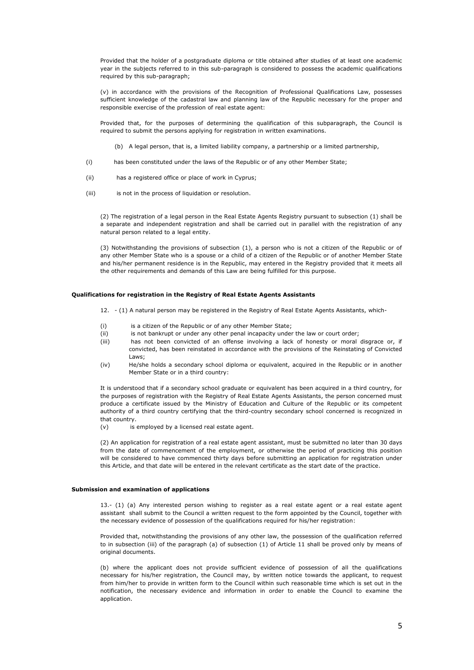Provided that the holder of a postgraduate diploma or title obtained after studies of at least one academic year in the subjects referred to in this sub-paragraph is considered to possess the academic qualifications required by this sub-paragraph;

(v) in accordance with the provisions of the Recognition of Professional Qualifications Law, possesses sufficient knowledge of the cadastral law and planning law of the Republic necessary for the proper and responsible exercise of the profession of real estate agent:

Provided that, for the purposes of determining the qualification of this subparagraph, the Council is required to submit the persons applying for registration in written examinations.

(b) A legal person, that is, a limited liability company, a partnership or a limited partnership,

- (i) has been constituted under the laws of the Republic or of any other Member State;
- (ii) has a registered office or place of work in Cyprus;
- (iii) is not in the process of liquidation or resolution.

(2) The registration of a legal person in the Real Estate Agents Registry pursuant to subsection (1) shall be a separate and independent registration and shall be carried out in parallel with the registration of any natural person related to a legal entity.

(3) Notwithstanding the provisions of subsection (1), a person who is not a citizen of the Republic or of any other Member State who is a spouse or a child of a citizen of the Republic or of another Member State and his/her permanent residence is in the Republic, may entered in the Registry provided that it meets all the other requirements and demands of this Law are being fulfilled for this purpose.

## **Qualifications for registration in the Registry of Real Estate Agents Assistants**

- 12. (1) A natural person may be registered in the Registry of Real Estate Agents Assistants, which-
- (i) is a citizen of the Republic or of any other Member State;
- (ii) is not bankrupt or under any other penal incapacity under the law or court order;
- (iii) has not been convicted of an offense involving a lack of honesty or moral disgrace or, if convicted, has been reinstated in accordance with the provisions of the Reinstating of Convicted Laws;
- (iv) He/she holds a secondary school diploma or equivalent, acquired in the Republic or in another Member State or in a third country:

It is understood that if a secondary school graduate or equivalent has been acquired in a third country, for the purposes of registration with the Registry of Real Estate Agents Assistants, the person concerned must produce a certificate issued by the Ministry of Education and Culture of the Republic or its competent authority of a third country certifying that the third-country secondary school concerned is recognized in that country.

(v) is employed by a licensed real estate agent.

(2) An application for registration of a real estate agent assistant, must be submitted no later than 30 days from the date of commencement of the employment, or otherwise the period of practicing this position will be considered to have commenced thirty days before submitting an application for registration under this Article, and that date will be entered in the relevant certificate as the start date of the practice.

## **Submission and examination of applications**

13.- (1) (a) Any interested person wishing to register as a real estate agent or a real estate agent assistant shall submit to the Council a written request to the form appointed by the Council, together with the necessary evidence of possession of the qualifications required for his/her registration:

Provided that, notwithstanding the provisions of any other law, the possession of the qualification referred to in subsection (iii) of the paragraph (a) of subsection (1) of Article 11 shall be proved only by means of original documents.

(b) where the applicant does not provide sufficient evidence of possession of all the qualifications necessary for his/her registration, the Council may, by written notice towards the applicant, to request from him/her to provide in written form to the Council within such reasonable time which is set out in the notification, the necessary evidence and information in order to enable the Council to examine the application.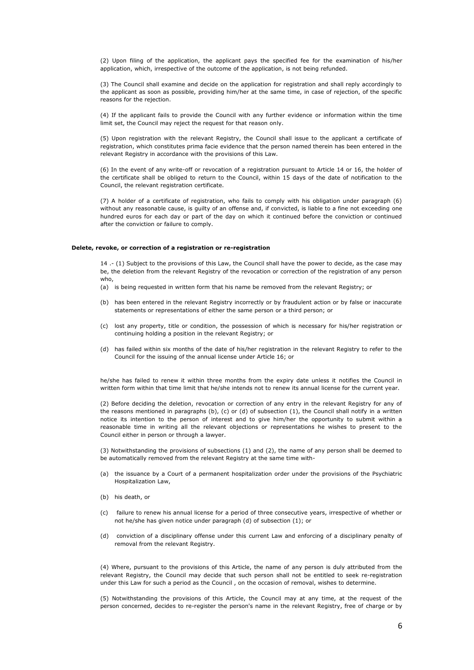(2) Upon filing of the application, the applicant pays the specified fee for the examination of his/her application, which, irrespective of the outcome of the application, is not being refunded.

(3) The Council shall examine and decide on the application for registration and shall reply accordingly to the applicant as soon as possible, providing him/her at the same time, in case of rejection, of the specific reasons for the rejection.

(4) If the applicant fails to provide the Council with any further evidence or information within the time limit set, the Council may reject the request for that reason only.

(5) Upon registration with the relevant Registry, the Council shall issue to the applicant a certificate of registration, which constitutes prima facie evidence that the person named therein has been entered in the relevant Registry in accordance with the provisions of this Law.

(6) In the event of any write-off or revocation of a registration pursuant to Article 14 or 16, the holder of the certificate shall be obliged to return to the Council, within 15 days of the date of notification to the Council, the relevant registration certificate.

(7) A holder of a certificate of registration, who fails to comply with his obligation under paragraph (6) without any reasonable cause, is guilty of an offense and, if convicted, is liable to a fine not exceeding one hundred euros for each day or part of the day on which it continued before the conviction or continued after the conviction or failure to comply.

#### **Delete, revoke, or correction of a registration or re-registration**

14 .- (1) Subject to the provisions of this Law, the Council shall have the power to decide, as the case may be, the deletion from the relevant Registry of the revocation or correction of the registration of any person who,

- (a) is being requested in written form that his name be removed from the relevant Registry; or
- (b) has been entered in the relevant Registry incorrectly or by fraudulent action or by false or inaccurate statements or representations of either the same person or a third person; or
- (c) lost any property, title or condition, the possession of which is necessary for his/her registration or continuing holding a position in the relevant Registry; or
- (d) has failed within six months of the date of his/her registration in the relevant Registry to refer to the Council for the issuing of the annual license under Article 16; or

he/she has failed to renew it within three months from the expiry date unless it notifies the Council in written form within that time limit that he/she intends not to renew its annual license for the current year.

(2) Before deciding the deletion, revocation or correction of any entry in the relevant Registry for any of the reasons mentioned in paragraphs (b), (c) or (d) of subsection (1), the Council shall notify in a written notice its intention to the person of interest and to give him/her the opportunity to submit within a reasonable time in writing all the relevant objections or representations he wishes to present to the Council either in person or through a lawyer.

(3) Notwithstanding the provisions of subsections (1) and (2), the name of any person shall be deemed to be automatically removed from the relevant Registry at the same time with-

- (a) the issuance by a Court of a permanent hospitalization order under the provisions of the Psychiatric Hospitalization Law,
- (b) his death, or
- (c) failure to renew his annual license for a period of three consecutive years, irrespective of whether or not he/she has given notice under paragraph (d) of subsection (1); or
- (d) conviction of a disciplinary offense under this current Law and enforcing of a disciplinary penalty of removal from the relevant Registry.

(4) Where, pursuant to the provisions of this Article, the name of any person is duly attributed from the relevant Registry, the Council may decide that such person shall not be entitled to seek re-registration under this Law for such a period as the Council , on the occasion of removal, wishes to determine.

(5) Notwithstanding the provisions of this Article, the Council may at any time, at the request of the person concerned, decides to re-register the person's name in the relevant Registry, free of charge or by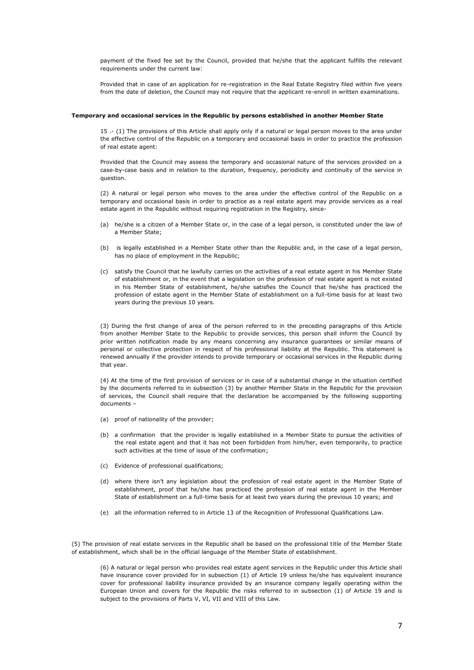payment of the fixed fee set by the Council, provided that he/she that the applicant fulfills the relevant requirements under the current law:

Provided that in case of an application for re-registration in the Real Estate Registry filed within five years from the date of deletion, the Council may not require that the applicant re-enroll in written examinations.

### **Temporary and occasional services in the Republic by persons established in another Member State**

15 .- (1) The provisions of this Article shall apply only if a natural or legal person moves to the area under the effective control of the Republic on a temporary and occasional basis in order to practice the profession of real estate agent:

Provided that the Council may assess the temporary and occasional nature of the services provided on a case-by-case basis and in relation to the duration, frequency, periodicity and continuity of the service in question.

(2) A natural or legal person who moves to the area under the effective control of the Republic on a temporary and occasional basis in order to practice as a real estate agent may provide services as a real estate agent in the Republic without requiring registration in the Registry, since-

- (a) he/she is a citizen of a Member State or, in the case of a legal person, is constituted under the law of a Member State;
- (b) is legally established in a Member State other than the Republic and, in the case of a legal person, has no place of employment in the Republic;
- (c) satisfy the Council that he lawfully carries on the activities of a real estate agent in his Member State of establishment or, in the event that a legislation on the profession of real estate agent is not existed in his Member State of establishment, he/she satisfies the Council that he/she has practiced the profession of estate agent in the Member State of establishment on a full-time basis for at least two years during the previous 10 years.

(3) During the first change of area of the person referred to in the preceding paragraphs of this Article from another Member State to the Republic to provide services, this person shall inform the Council by prior written notification made by any means concerning any insurance guarantees or similar means of personal or collective protection in respect of his professional liability at the Republic. This statement is renewed annually if the provider intends to provide temporary or occasional services in the Republic during that year.

(4) At the time of the first provision of services or in case of a substantial change in the situation certified by the documents referred to in subsection (3) by another Member State in the Republic for the provision of services, the Council shall require that the declaration be accompanied by the following supporting documents –

- (a) proof of nationality of the provider;
- (b) a confirmation that the provider is legally established in a Member State to pursue the activities of the real estate agent and that it has not been forbidden from him/her, even temporarily, to practice such activities at the time of issue of the confirmation;
- (c) Evidence of professional qualifications;
- (d) where there isn't any legislation about the profession of real estate agent in the Member State of establishment, proof that he/she has practiced the profession of real estate agent in the Member State of establishment on a full-time basis for at least two years during the previous 10 years; and
- (e) all the information referred to in Article 13 of the Recognition of Professional Qualifications Law.

(5) The provision of real estate services in the Republic shall be based on the professional title of the Member State of establishment, which shall be in the official language of the Member State of establishment.

(6) A natural or legal person who provides real estate agent services in the Republic under this Article shall have insurance cover provided for in subsection (1) of Article 19 unless he/she has equivalent insurance cover for professional liability insurance provided by an insurance company legally operating within the European Union and covers for the Republic the risks referred to in subsection (1) of Article 19 and is subject to the provisions of Parts V, VI, VII and VIII of this Law.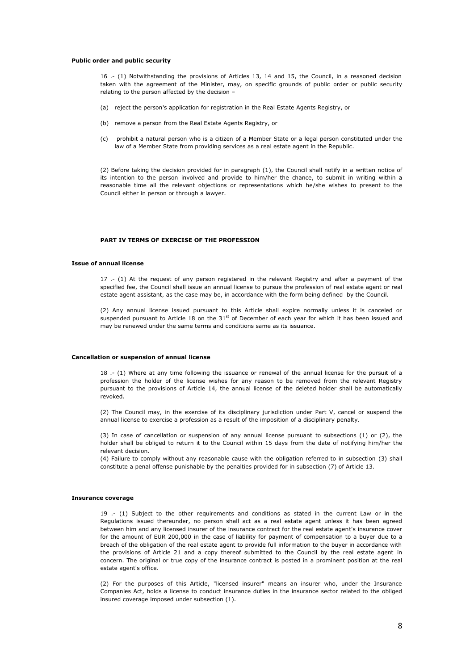### **Public order and public security**

16 .- (1) Notwithstanding the provisions of Articles 13, 14 and 15, the Council, in a reasoned decision taken with the agreement of the Minister, may, on specific grounds of public order or public security relating to the person affected by the decision –

- (a) reject the person's application for registration in the Real Estate Agents Registry, or
- (b) remove a person from the Real Estate Agents Registry, or
- (c) prohibit a natural person who is a citizen of a Member State or a legal person constituted under the law of a Member State from providing services as a real estate agent in the Republic.

(2) Before taking the decision provided for in paragraph (1), the Council shall notify in a written notice of its intention to the person involved and provide to him/her the chance, to submit in writing within a reasonable time all the relevant objections or representations which he/she wishes to present to the Council either in person or through a lawyer.

# **PART IV TERMS OF EXERCISE OF THE PROFESSION**

### **Issue of annual license**

17 .- (1) At the request of any person registered in the relevant Registry and after a payment of the specified fee, the Council shall issue an annual license to pursue the profession of real estate agent or real estate agent assistant, as the case may be, in accordance with the form being defined by the Council.

(2) Any annual license issued pursuant to this Article shall expire normally unless it is canceled or suspended pursuant to Article 18 on the  $31<sup>st</sup>$  of December of each year for which it has been issued and may be renewed under the same terms and conditions same as its issuance.

#### **Cancellation or suspension of annual license**

18 .- (1) Where at any time following the issuance or renewal of the annual license for the pursuit of a profession the holder of the license wishes for any reason to be removed from the relevant Registry pursuant to the provisions of Article 14, the annual license of the deleted holder shall be automatically revoked.

(2) The Council may, in the exercise of its disciplinary jurisdiction under Part V, cancel or suspend the annual license to exercise a profession as a result of the imposition of a disciplinary penalty.

(3) In case of cancellation or suspension of any annual license pursuant to subsections (1) or (2), the holder shall be obliged to return it to the Council within 15 days from the date of notifying him/her the relevant decision.

(4) Failure to comply without any reasonable cause with the obligation referred to in subsection (3) shall constitute a penal offense punishable by the penalties provided for in subsection (7) of Article 13.

#### **Insurance coverage**

19 .- (1) Subject to the other requirements and conditions as stated in the current Law or in the Regulations issued thereunder, no person shall act as a real estate agent unless it has been agreed between him and any licensed insurer of the insurance contract for the real estate agent's insurance cover for the amount of EUR 200,000 in the case of liability for payment of compensation to a buyer due to a breach of the obligation of the real estate agent to provide full information to the buyer in accordance with the provisions of Article 21 and a copy thereof submitted to the Council by the real estate agent in concern. The original or true copy of the insurance contract is posted in a prominent position at the real estate agent's office.

(2) For the purposes of this Article, "licensed insurer" means an insurer who, under the Insurance Companies Act, holds a license to conduct insurance duties in the insurance sector related to the obliged insured coverage imposed under subsection (1).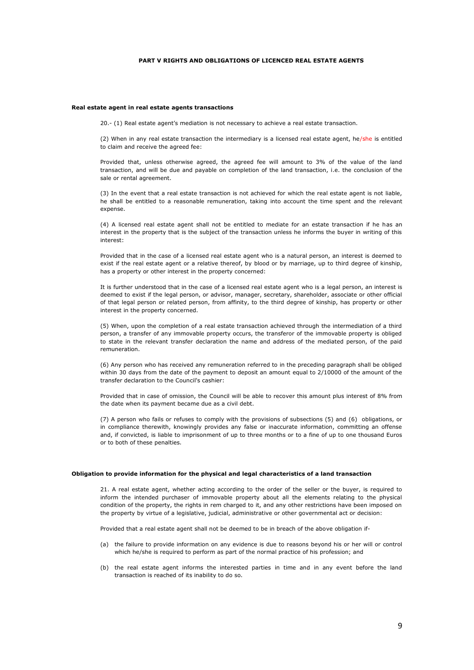# **PART V RIGHTS AND OBLIGATIONS OF LICENCED REAL ESTATE AGENTS**

#### **Real estate agent in real estate agents transactions**

20.- (1) Real estate agent's mediation is not necessary to achieve a real estate transaction.

(2) When in any real estate transaction the intermediary is a licensed real estate agent, he/she is entitled to claim and receive the agreed fee:

Provided that, unless otherwise agreed, the agreed fee will amount to 3% of the value of the land transaction, and will be due and payable on completion of the land transaction, i.e. the conclusion of the sale or rental agreement.

(3) In the event that a real estate transaction is not achieved for which the real estate agent is not liable, he shall be entitled to a reasonable remuneration, taking into account the time spent and the relevant expense.

(4) A licensed real estate agent shall not be entitled to mediate for an estate transaction if he has an interest in the property that is the subject of the transaction unless he informs the buyer in writing of this interest:

Provided that in the case of a licensed real estate agent who is a natural person, an interest is deemed to exist if the real estate agent or a relative thereof, by blood or by marriage, up to third degree of kinship, has a property or other interest in the property concerned:

It is further understood that in the case of a licensed real estate agent who is a legal person, an interest is deemed to exist if the legal person, or advisor, manager, secretary, shareholder, associate or other official of that legal person or related person, from affinity, to the third degree of kinship, has property or other interest in the property concerned.

(5) When, upon the completion of a real estate transaction achieved through the intermediation of a third person, a transfer of any immovable property occurs, the transferor of the immovable property is obliged to state in the relevant transfer declaration the name and address of the mediated person, of the paid remuneration.

(6) Any person who has received any remuneration referred to in the preceding paragraph shall be obliged within 30 days from the date of the payment to deposit an amount equal to 2/10000 of the amount of the transfer declaration to the Council's cashier:

Provided that in case of omission, the Council will be able to recover this amount plus interest of 8% from the date when its payment became due as a civil debt.

(7) A person who fails or refuses to comply with the provisions of subsections (5) and (6) obligations, or in compliance therewith, knowingly provides any false or inaccurate information, committing an offense and, if convicted, is liable to imprisonment of up to three months or to a fine of up to one thousand Euros or to both of these penalties.

## **Obligation to provide information for the physical and legal characteristics of a land transaction**

21. A real estate agent, whether acting according to the order of the seller or the buyer, is required to inform the intended purchaser of immovable property about all the elements relating to the physical condition of the property, the rights in rem charged to it, and any other restrictions have been imposed on the property by virtue of a legislative, judicial, administrative or other governmental act or decision:

Provided that a real estate agent shall not be deemed to be in breach of the above obligation if-

- (a) the failure to provide information on any evidence is due to reasons beyond his or her will or control which he/she is required to perform as part of the normal practice of his profession; and
- (b) the real estate agent informs the interested parties in time and in any event before the land transaction is reached of its inability to do so.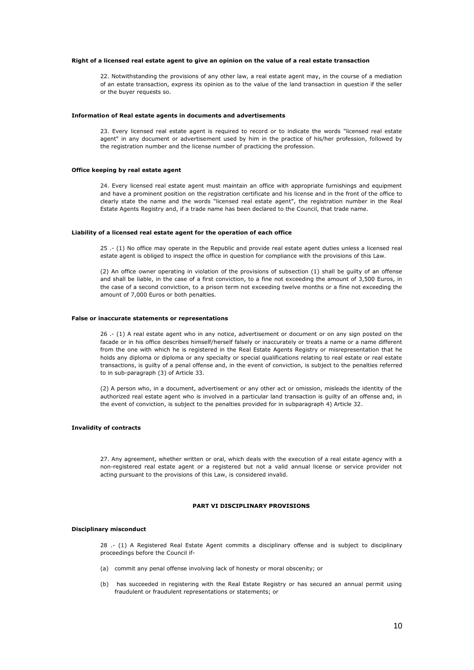### **Right of a licensed real estate agent to give an opinion on the value of a real estate transaction**

22. Notwithstanding the provisions of any other law, a real estate agent may, in the course of a mediation of an estate transaction, express its opinion as to the value of the land transaction in question if the seller or the buyer requests so.

#### **Information of Real estate agents in documents and advertisements**

23. Every licensed real estate agent is required to record or to indicate the words "licensed real estate agent" in any document or advertisement used by him in the practice of his/her profession, followed by the registration number and the license number of practicing the profession.

# **Office keeping by real estate agent**

24. Every licensed real estate agent must maintain an office with appropriate furnishings and equipment and have a prominent position on the registration certificate and his license and in the front of the office to clearly state the name and the words "licensed real estate agent", the registration number in the Real Estate Agents Registry and, if a trade name has been declared to the Council, that trade name.

## **Liability of a licensed real estate agent for the operation of each office**

25 .- (1) No office may operate in the Republic and provide real estate agent duties unless a licensed real estate agent is obliged to inspect the office in question for compliance with the provisions of this Law.

(2) An office owner operating in violation of the provisions of subsection (1) shall be guilty of an offense and shall be liable, in the case of a first conviction, to a fine not exceeding the amount of 3,500 Euros, in the case of a second conviction, to a prison term not exceeding twelve months or a fine not exceeding the amount of 7,000 Euros or both penalties.

#### **False or inaccurate statements or representations**

26 .- (1) A real estate agent who in any notice, advertisement or document or on any sign posted on the facade or in his office describes himself/herself falsely or inaccurately or treats a name or a name different from the one with which he is registered in the Real Estate Agents Registry or misrepresentation that he holds any diploma or diploma or any specialty or special qualifications relating to real estate or real estate transactions, is guilty of a penal offense and, in the event of conviction, is subject to the penalties referred to in sub-paragraph (3) of Article 33.

(2) A person who, in a document, advertisement or any other act or omission, misleads the identity of the authorized real estate agent who is involved in a particular land transaction is guilty of an offense and, in the event of conviction, is subject to the penalties provided for in subparagraph 4) Article 32.

#### **Invalidity of contracts**

27. Any agreement, whether written or oral, which deals with the execution of a real estate agency with a non-registered real estate agent or a registered but not a valid annual license or service provider not acting pursuant to the provisions of this Law, is considered invalid.

# **PART VI DISCIPLINARY PROVISIONS**

## **Disciplinary misconduct**

28 .- (1) A Registered Real Estate Agent commits a disciplinary offense and is subject to disciplinary proceedings before the Council if-

- (a) commit any penal offense involving lack of honesty or moral obscenity; or
- (b) has succeeded in registering with the Real Estate Registry or has secured an annual permit using fraudulent or fraudulent representations or statements; or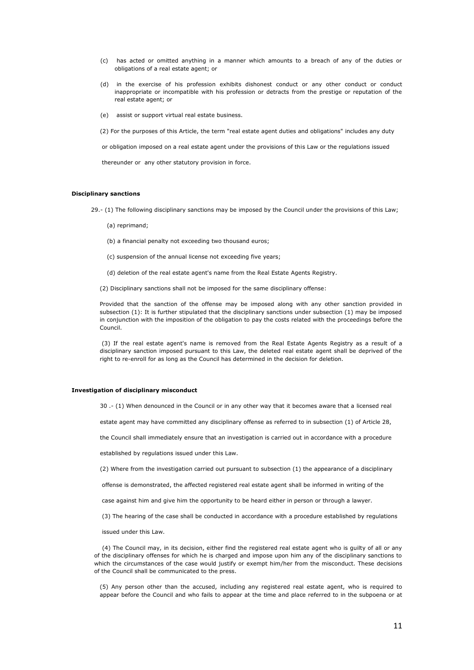- (c) has acted or omitted anything in a manner which amounts to a breach of any of the duties or obligations of a real estate agent; or
- (d) in the exercise of his profession exhibits dishonest conduct or any other conduct or conduct inappropriate or incompatible with his profession or detracts from the prestige or reputation of the real estate agent; or
- (e) assist or support virtual real estate business.

(2) For the purposes of this Article, the term "real estate agent duties and obligations" includes any duty

or obligation imposed on a real estate agent under the provisions of this Law or the regulations issued

thereunder or any other statutory provision in force.

## **Disciplinary sanctions**

29.- (1) The following disciplinary sanctions may be imposed by the Council under the provisions of this Law;

- (a) reprimand;
- (b) a financial penalty not exceeding two thousand euros;
- (c) suspension of the annual license not exceeding five years;
- (d) deletion of the real estate agent's name from the Real Estate Agents Registry.
- (2) Disciplinary sanctions shall not be imposed for the same disciplinary offense:

Provided that the sanction of the offense may be imposed along with any other sanction provided in subsection (1): It is further stipulated that the disciplinary sanctions under subsection (1) may be imposed in conjunction with the imposition of the obligation to pay the costs related with the proceedings before the Council.

(3) If the real estate agent's name is removed from the Real Estate Agents Registry as a result of a disciplinary sanction imposed pursuant to this Law, the deleted real estate agent shall be deprived of the right to re-enroll for as long as the Council has determined in the decision for deletion.

#### **Investigation of disciplinary misconduct**

30 .- (1) When denounced in the Council or in any other way that it becomes aware that a licensed real

estate agent may have committed any disciplinary offense as referred to in subsection (1) of Article 28,

the Council shall immediately ensure that an investigation is carried out in accordance with a procedure

established by regulations issued under this Law.

(2) Where from the investigation carried out pursuant to subsection (1) the appearance of a disciplinary

offense is demonstrated, the affected registered real estate agent shall be informed in writing of the

case against him and give him the opportunity to be heard either in person or through a lawyer.

(3) The hearing of the case shall be conducted in accordance with a procedure established by regulations

issued under this Law.

 (4) The Council may, in its decision, either find the registered real estate agent who is guilty of all or any of the disciplinary offenses for which he is charged and impose upon him any of the disciplinary sanctions to which the circumstances of the case would justify or exempt him/her from the misconduct. These decisions of the Council shall be communicated to the press.

(5) Any person other than the accused, including any registered real estate agent, who is required to appear before the Council and who fails to appear at the time and place referred to in the subpoena or at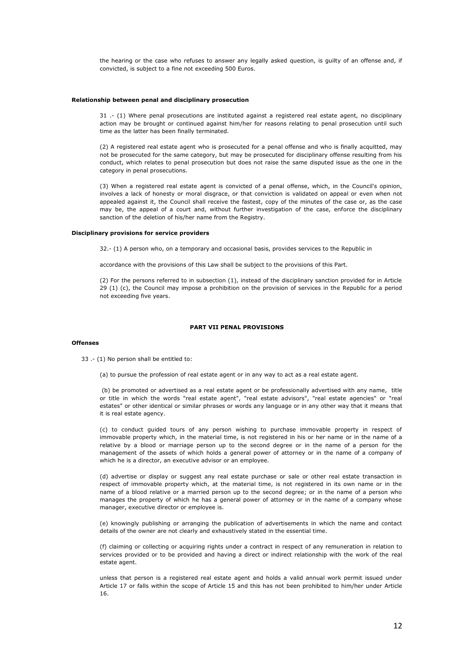the hearing or the case who refuses to answer any legally asked question, is guilty of an offense and, if convicted, is subject to a fine not exceeding 500 Euros.

#### **Relationship between penal and disciplinary prosecution**

31 .- (1) Where penal prosecutions are instituted against a registered real estate agent, no disciplinary action may be brought or continued against him/her for reasons relating to penal prosecution until such time as the latter has been finally terminated.

(2) A registered real estate agent who is prosecuted for a penal offense and who is finally acquitted, may not be prosecuted for the same category, but may be prosecuted for disciplinary offense resulting from his conduct, which relates to penal prosecution but does not raise the same disputed issue as the one in the category in penal prosecutions.

(3) When a registered real estate agent is convicted of a penal offense, which, in the Council's opinion, involves a lack of honesty or moral disgrace, or that conviction is validated on appeal or even when not appealed against it, the Council shall receive the fastest, copy of the minutes of the case or, as the case may be, the appeal of a court and, without further investigation of the case, enforce the disciplinary sanction of the deletion of his/her name from the Registry.

## **Disciplinary provisions for service providers**

32.- (1) A person who, on a temporary and occasional basis, provides services to the Republic in

accordance with the provisions of this Law shall be subject to the provisions of this Part.

(2) For the persons referred to in subsection (1), instead of the disciplinary sanction provided for in Article 29 (1) (c), the Council may impose a prohibition on the provision of services in the Republic for a period not exceeding five years.

# **PART VII PENAL PROVISIONS**

### **Offenses**

33 .- (1) No person shall be entitled to:

(a) to pursue the profession of real estate agent or in any way to act as a real estate agent.

(b) be promoted or advertised as a real estate agent or be professionally advertised with any name, title or title in which the words "real estate agent", "real estate advisors", "real estate agencies" or "real estates" or other identical or similar phrases or words any language or in any other way that it means that it is real estate agency.

(c) to conduct guided tours of any person wishing to purchase immovable property in respect of immovable property which, in the material time, is not registered in his or her name or in the name of a relative by a blood or marriage person up to the second degree or in the name of a person for the management of the assets of which holds a general power of attorney or in the name of a company of which he is a director, an executive advisor or an employee.

(d) advertise or display or suggest any real estate purchase or sale or other real estate transaction in respect of immovable property which, at the material time, is not registered in its own name or in the name of a blood relative or a married person up to the second degree; or in the name of a person who manages the property of which he has a general power of attorney or in the name of a company whose manager, executive director or employee is.

(e) knowingly publishing or arranging the publication of advertisements in which the name and contact details of the owner are not clearly and exhaustively stated in the essential time.

(f) claiming or collecting or acquiring rights under a contract in respect of any remuneration in relation to services provided or to be provided and having a direct or indirect relationship with the work of the real estate agent.

unless that person is a registered real estate agent and holds a valid annual work permit issued under Article 17 or falls within the scope of Article 15 and this has not been prohibited to him/her under Article 16.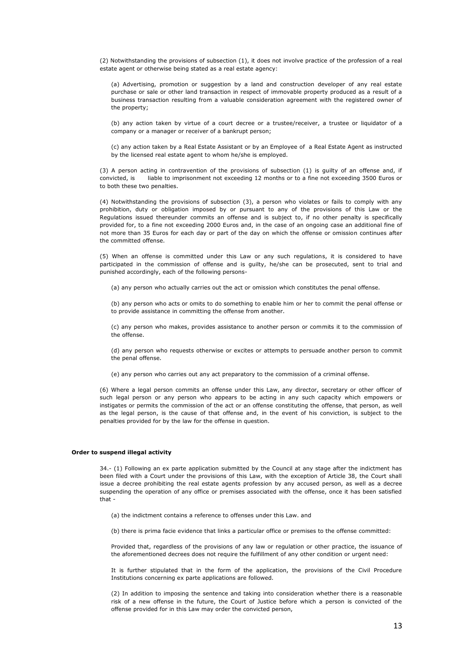(2) Notwithstanding the provisions of subsection (1), it does not involve practice of the profession of a real estate agent or otherwise being stated as a real estate agency:

(a) Advertising, promotion or suggestion by a land and construction developer of any real estate purchase or sale or other land transaction in respect of immovable property produced as a result of a business transaction resulting from a valuable consideration agreement with the registered owner of the property;

(b) any action taken by virtue of a court decree or a trustee/receiver, a trustee or liquidator of a company or a manager or receiver of a bankrupt person;

(c) any action taken by a Real Estate Assistant or by an Employee of a Real Estate Agent as instructed by the licensed real estate agent to whom he/she is employed.

(3) A person acting in contravention of the provisions of subsection (1) is guilty of an offense and, if convicted, is liable to imprisonment not exceeding 12 months or to a fine not exceeding 3500 Euros or to both these two penalties.

(4) Notwithstanding the provisions of subsection (3), a person who violates or fails to comply with any prohibition, duty or obligation imposed by or pursuant to any of the provisions of this Law or the Regulations issued thereunder commits an offense and is subject to, if no other penalty is specifically provided for, to a fine not exceeding 2000 Euros and, in the case of an ongoing case an additional fine of not more than 35 Euros for each day or part of the day on which the offense or omission continues after the committed offense.

(5) When an offense is committed under this Law or any such regulations, it is considered to have participated in the commission of offense and is guilty, he/she can be prosecuted, sent to trial and punished accordingly, each of the following persons-

(a) any person who actually carries out the act or omission which constitutes the penal offense.

(b) any person who acts or omits to do something to enable him or her to commit the penal offense or to provide assistance in committing the offense from another.

(c) any person who makes, provides assistance to another person or commits it to the commission of the offense.

(d) any person who requests otherwise or excites or attempts to persuade another person to commit the penal offense.

(e) any person who carries out any act preparatory to the commission of a criminal offense.

(6) Where a legal person commits an offense under this Law, any director, secretary or other officer of such legal person or any person who appears to be acting in any such capacity which empowers or instigates or permits the commission of the act or an offense constituting the offense, that person, as well as the legal person, is the cause of that offense and, in the event of his conviction, is subject to the penalties provided for by the law for the offense in question.

### **Order to suspend illegal activity**

34.- (1) Following an ex parte application submitted by the Council at any stage after the indictment has been filed with a Court under the provisions of this Law, with the exception of Article 38, the Court shall issue a decree prohibiting the real estate agents profession by any accused person, as well as a decree suspending the operation of any office or premises associated with the offense, once it has been satisfied that -

(a) the indictment contains a reference to offenses under this Law. and

(b) there is prima facie evidence that links a particular office or premises to the offense committed:

Provided that, regardless of the provisions of any law or regulation or other practice, the issuance of the aforementioned decrees does not require the fulfillment of any other condition or urgent need:

It is further stipulated that in the form of the application, the provisions of the Civil Procedure Institutions concerning ex parte applications are followed.

(2) In addition to imposing the sentence and taking into consideration whether there is a reasonable risk of a new offense in the future, the Court of Justice before which a person is convicted of the offense provided for in this Law may order the convicted person,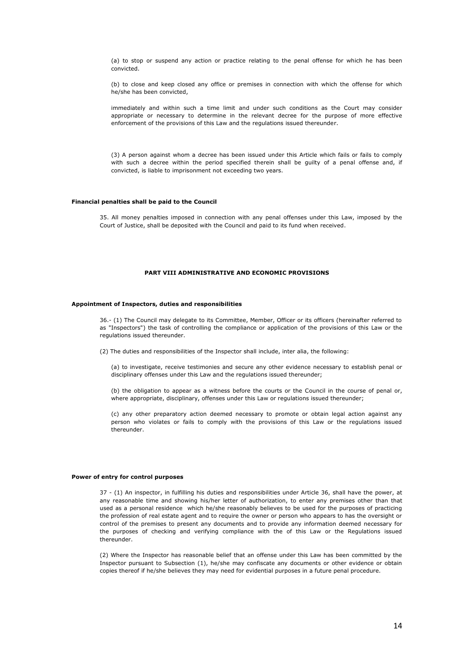(a) to stop or suspend any action or practice relating to the penal offense for which he has been convicted.

(b) to close and keep closed any office or premises in connection with which the offense for which he/she has been convicted,

immediately and within such a time limit and under such conditions as the Court may consider appropriate or necessary to determine in the relevant decree for the purpose of more effective enforcement of the provisions of this Law and the regulations issued thereunder.

(3) A person against whom a decree has been issued under this Article which fails or fails to comply with such a decree within the period specified therein shall be guilty of a penal offense and, if convicted, is liable to imprisonment not exceeding two years.

### **Financial penalties shall be paid to the Council**

35. All money penalties imposed in connection with any penal offenses under this Law, imposed by the Court of Justice, shall be deposited with the Council and paid to its fund when received.

### **PART VIII ADMINISTRATIVE AND ECONOMIC PROVISIONS**

#### **Appointment of Inspectors, duties and responsibilities**

36.- (1) The Council may delegate to its Committee, Member, Officer or its officers (hereinafter referred to as "Inspectors") the task of controlling the compliance or application of the provisions of this Law or the regulations issued thereunder.

(2) The duties and responsibilities of the Inspector shall include, inter alia, the following:

(a) to investigate, receive testimonies and secure any other evidence necessary to establish penal or disciplinary offenses under this Law and the regulations issued thereunder;

(b) the obligation to appear as a witness before the courts or the Council in the course of penal or, where appropriate, disciplinary, offenses under this Law or regulations issued thereunder;

(c) any other preparatory action deemed necessary to promote or obtain legal action against any person who violates or fails to comply with the provisions of this Law or the regulations issued thereunder.

#### **Power of entry for control purposes**

37 - (1) An inspector, in fulfilling his duties and responsibilities under Article 36, shall have the power, at any reasonable time and showing his/her letter of authorization, to enter any premises other than that used as a personal residence which he/she reasonably believes to be used for the purposes of practicing the profession of real estate agent and to require the owner or person who appears to has the oversight or control of the premises to present any documents and to provide any information deemed necessary for the purposes of checking and verifying compliance with the of this Law or the Regulations issued thereunder.

(2) Where the Inspector has reasonable belief that an offense under this Law has been committed by the Inspector pursuant to Subsection (1), he/she may confiscate any documents or other evidence or obtain copies thereof if he/she believes they may need for evidential purposes in a future penal procedure.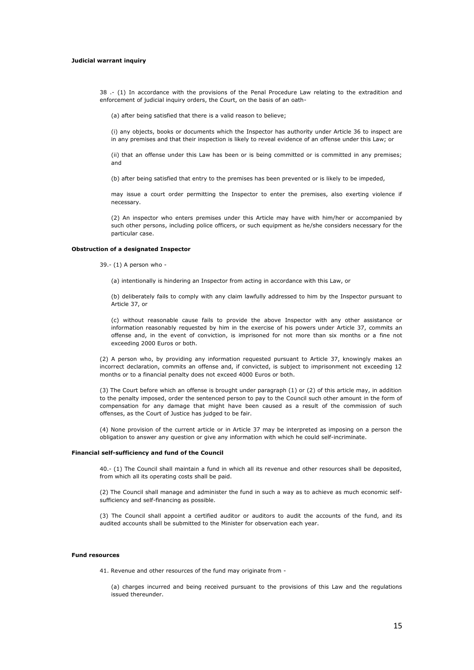## **Judicial warrant inquiry**

38 .- (1) In accordance with the provisions of the Penal Procedure Law relating to the extradition and enforcement of judicial inquiry orders, the Court, on the basis of an oath-

(a) after being satisfied that there is a valid reason to believe;

(i) any objects, books or documents which the Inspector has authority under Article 36 to inspect are in any premises and that their inspection is likely to reveal evidence of an offense under this Law; or

(ii) that an offense under this Law has been or is being committed or is committed in any premises; and

(b) after being satisfied that entry to the premises has been prevented or is likely to be impeded,

may issue a court order permitting the Inspector to enter the premises, also exerting violence if necessary.

(2) An inspector who enters premises under this Article may have with him/her or accompanied by such other persons, including police officers, or such equipment as he/she considers necessary for the particular case.

## **Obstruction of a designated Inspector**

39.- (1) A person who -

(a) intentionally is hindering an Inspector from acting in accordance with this Law, or

(b) deliberately fails to comply with any claim lawfully addressed to him by the Inspector pursuant to Article 37, or

(c) without reasonable cause fails to provide the above Inspector with any other assistance or information reasonably requested by him in the exercise of his powers under Article 37, commits an offense and, in the event of conviction, is imprisoned for not more than six months or a fine not exceeding 2000 Euros or both.

(2) A person who, by providing any information requested pursuant to Article 37, knowingly makes an incorrect declaration, commits an offense and, if convicted, is subject to imprisonment not exceeding 12 months or to a financial penalty does not exceed 4000 Euros or both.

(3) The Court before which an offense is brought under paragraph (1) or (2) of this article may, in addition to the penalty imposed, order the sentenced person to pay to the Council such other amount in the form of compensation for any damage that might have been caused as a result of the commission of such offenses, as the Court of Justice has judged to be fair.

(4) None provision of the current article or in Article 37 may be interpreted as imposing on a person the obligation to answer any question or give any information with which he could self-incriminate.

#### **Financial self-sufficiency and fund of the Council**

40.- (1) The Council shall maintain a fund in which all its revenue and other resources shall be deposited, from which all its operating costs shall be paid.

(2) The Council shall manage and administer the fund in such a way as to achieve as much economic selfsufficiency and self-financing as possible.

(3) The Council shall appoint a certified auditor or auditors to audit the accounts of the fund, and its audited accounts shall be submitted to the Minister for observation each year.

#### **Fund resources**

41. Revenue and other resources of the fund may originate from -

(a) charges incurred and being received pursuant to the provisions of this Law and the regulations issued thereunder.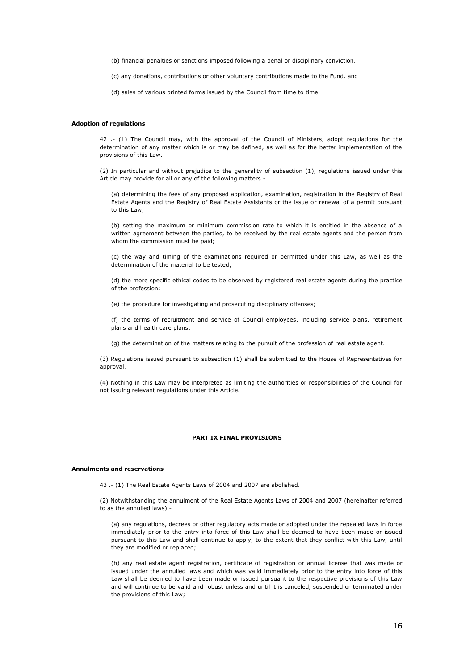(b) financial penalties or sanctions imposed following a penal or disciplinary conviction.

(c) any donations, contributions or other voluntary contributions made to the Fund. and

(d) sales of various printed forms issued by the Council from time to time.

#### **Adoption of regulations**

42 .- (1) The Council may, with the approval of the Council of Ministers, adopt regulations for the determination of any matter which is or may be defined, as well as for the better implementation of the provisions of this Law.

(2) In particular and without prejudice to the generality of subsection (1), regulations issued under this Article may provide for all or any of the following matters -

(a) determining the fees of any proposed application, examination, registration in the Registry of Real Estate Agents and the Registry of Real Estate Assistants or the issue or renewal of a permit pursuant to this Law;

(b) setting the maximum or minimum commission rate to which it is entitled in the absence of a written agreement between the parties, to be received by the real estate agents and the person from whom the commission must be paid;

(c) the way and timing of the examinations required or permitted under this Law, as well as the determination of the material to be tested;

(d) the more specific ethical codes to be observed by registered real estate agents during the practice of the profession;

(e) the procedure for investigating and prosecuting disciplinary offenses;

(f) the terms of recruitment and service of Council employees, including service plans, retirement plans and health care plans;

(g) the determination of the matters relating to the pursuit of the profession of real estate agent.

(3) Regulations issued pursuant to subsection (1) shall be submitted to the House of Representatives for approval.

(4) Nothing in this Law may be interpreted as limiting the authorities or responsibilities of the Council for not issuing relevant regulations under this Article.

## **PART IX FINAL PROVISIONS**

#### **Annulments and reservations**

43 .- (1) The Real Estate Agents Laws of 2004 and 2007 are abolished.

(2) Notwithstanding the annulment of the Real Estate Agents Laws of 2004 and 2007 (hereinafter referred to as the annulled laws) -

(a) any regulations, decrees or other regulatory acts made or adopted under the repealed laws in force immediately prior to the entry into force of this Law shall be deemed to have been made or issued pursuant to this Law and shall continue to apply, to the extent that they conflict with this Law, until they are modified or replaced;

(b) any real estate agent registration, certificate of registration or annual license that was made or issued under the annulled laws and which was valid immediately prior to the entry into force of this Law shall be deemed to have been made or issued pursuant to the respective provisions of this Law and will continue to be valid and robust unless and until it is canceled, suspended or terminated under the provisions of this Law;